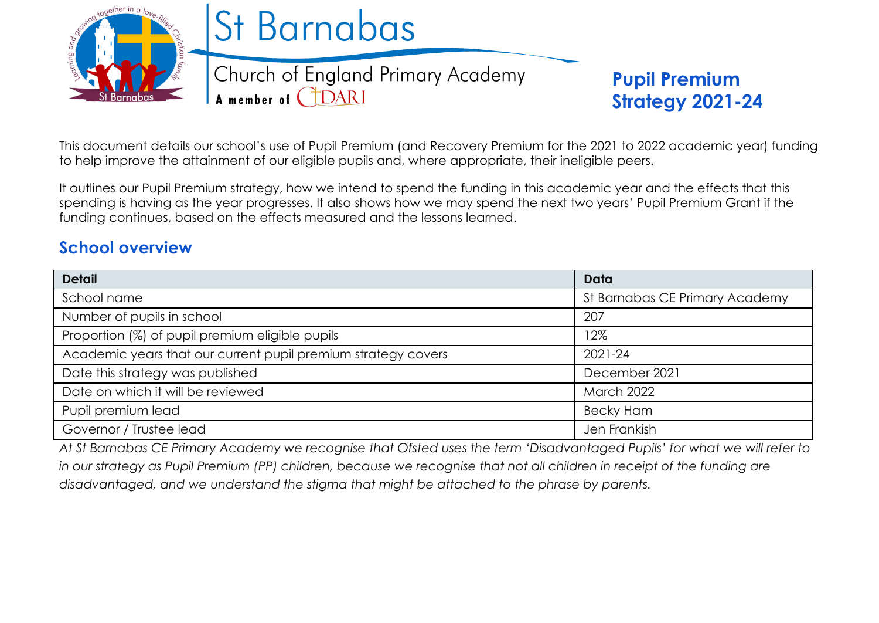

This document details our school's use of Pupil Premium (and Recovery Premium for the 2021 to 2022 academic year) funding to help improve the attainment of our eligible pupils and, where appropriate, their ineligible peers.

It outlines our Pupil Premium strategy, how we intend to spend the funding in this academic year and the effects that this spending is having as the year progresses. It also shows how we may spend the next two years' Pupil Premium Grant if the funding continues, based on the effects measured and the lessons learned.

# **School overview**

| <b>Detail</b>                                                 | Data                           |
|---------------------------------------------------------------|--------------------------------|
| School name                                                   | St Barnabas CE Primary Academy |
| Number of pupils in school                                    | 207                            |
| Proportion (%) of pupil premium eligible pupils               | 12%                            |
| Academic years that our current pupil premium strategy covers | $2021 - 24$                    |
| Date this strategy was published                              | December 2021                  |
| Date on which it will be reviewed                             | <b>March 2022</b>              |
| Pupil premium lead                                            | <b>Becky Ham</b>               |
| Governor / Trustee lead                                       | Jen Frankish                   |

*At St Barnabas CE Primary Academy we recognise that Ofsted uses the term 'Disadvantaged Pupils' for what we will refer to in our strategy as Pupil Premium (PP) children, because we recognise that not all children in receipt of the funding are disadvantaged, and we understand the stigma that might be attached to the phrase by parents.*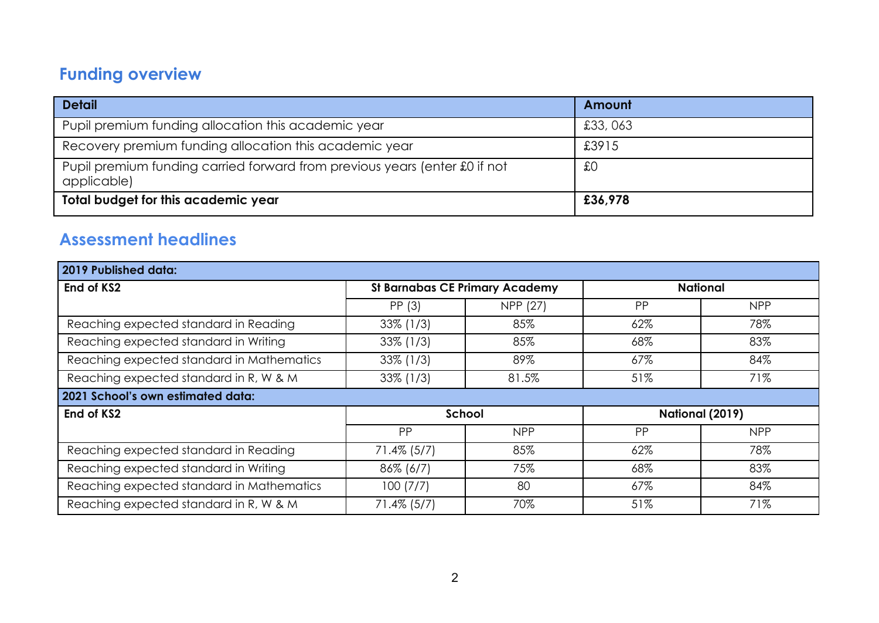# **Funding overview**

| <b>Detail</b>                                                                             | Amount  |
|-------------------------------------------------------------------------------------------|---------|
| Pupil premium funding allocation this academic year                                       | £33,063 |
| Recovery premium funding allocation this academic year                                    | £3915   |
| Pupil premium funding carried forward from previous years (enter £0 if not<br>applicable) | £C      |
| Total budget for this academic year                                                       | £36,978 |

# **Assessment headlines**

| 2019 Published data:                      |                                       |            |                        |            |
|-------------------------------------------|---------------------------------------|------------|------------------------|------------|
| End of KS2                                | <b>St Barnabas CE Primary Academy</b> |            | <b>National</b>        |            |
|                                           | PP (3)                                | NPP (27)   | PP                     | <b>NPP</b> |
| Reaching expected standard in Reading     | $33\%$ (1/3)                          | 85%        | 62%                    | 78%        |
| Reaching expected standard in Writing     | $33\%$ (1/3)                          | 85%        | 68%                    | 83%        |
| Reaching expected standard in Mathematics | $33\%$ (1/3)                          | 89%        | 67%                    | 84%        |
| Reaching expected standard in R, W & M    | $33\%$ (1/3)                          | 81.5%      | 51%                    | 71%        |
| 2021 School's own estimated data:         |                                       |            |                        |            |
| End of KS2                                | School                                |            | <b>National (2019)</b> |            |
|                                           | PP                                    | <b>NPP</b> | PP                     | <b>NPP</b> |
| Reaching expected standard in Reading     | $71.4\%$ (5/7)                        | 85%        | 62%                    | 78%        |
| Reaching expected standard in Writing     | $86\%$ (6/7)                          | 75%        | 68%                    | 83%        |
| Reaching expected standard in Mathematics | 100(7/7)                              | 80         | 67%                    | 84%        |
| Reaching expected standard in R, W & M    | $71.4\%$ (5/7)                        | 70%        | 51%                    | 71%        |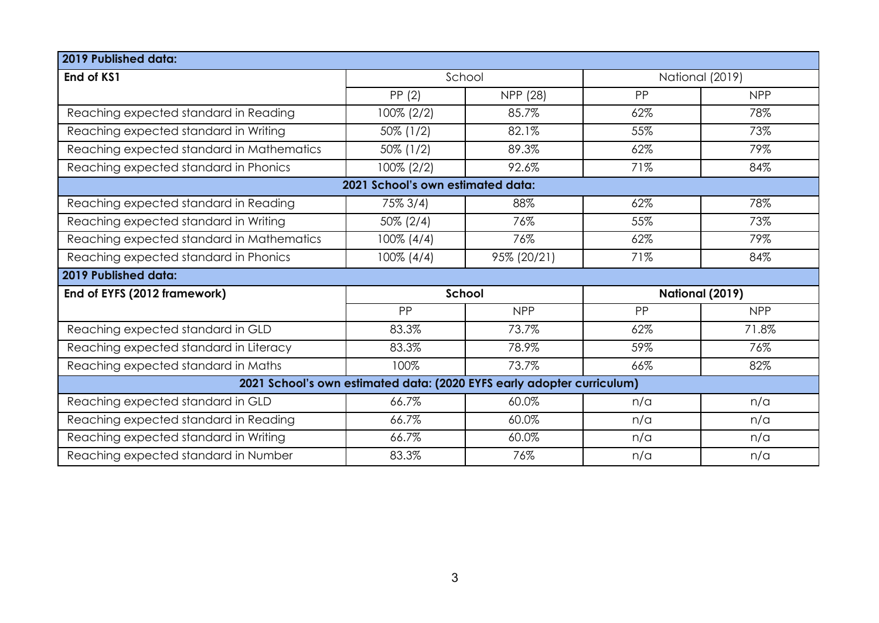| 2019 Published data:                                                   |                                   |             |                 |            |
|------------------------------------------------------------------------|-----------------------------------|-------------|-----------------|------------|
| End of KS1                                                             | School                            |             | National (2019) |            |
|                                                                        | PP(2)                             | NPP (28)    | PP              | <b>NPP</b> |
| Reaching expected standard in Reading                                  | 100% (2/2)                        | 85.7%       | 62%             | 78%        |
| Reaching expected standard in Writing                                  | $50\%$ (1/2)                      | 82.1%       | 55%             | 73%        |
| Reaching expected standard in Mathematics                              | $50\%$ (1/2)                      | 89.3%       | 62%             | 79%        |
| Reaching expected standard in Phonics                                  | 100% (2/2)                        | 92.6%       | 71%             | 84%        |
|                                                                        | 2021 School's own estimated data: |             |                 |            |
| Reaching expected standard in Reading                                  | 75% 3/4)                          | 88%         | 62%             | 78%        |
| Reaching expected standard in Writing                                  | $50\% (2/4)$                      | 76%         | 55%             | 73%        |
| Reaching expected standard in Mathematics                              | $100\% (4/4)$                     | 76%         | 62%             | 79%        |
| Reaching expected standard in Phonics                                  | $100\% (4/4)$                     | 95% (20/21) | 71%             | 84%        |
| 2019 Published data:                                                   |                                   |             |                 |            |
| End of EYFS (2012 framework)                                           | <b>School</b>                     |             | National (2019) |            |
|                                                                        | PP                                | <b>NPP</b>  | PP              | <b>NPP</b> |
| Reaching expected standard in GLD                                      | 83.3%                             | 73.7%       | 62%             | 71.8%      |
| Reaching expected standard in Literacy                                 | 83.3%                             | 78.9%       | 59%             | 76%        |
| Reaching expected standard in Maths                                    | 100%                              | 73.7%       | 66%             | 82%        |
| 2021 School's own estimated data: (2020 EYFS early adopter curriculum) |                                   |             |                 |            |
| Reaching expected standard in GLD                                      | 66.7%                             | 60.0%       | n/a             | n/a        |
| Reaching expected standard in Reading                                  | 66.7%                             | 60.0%       | n/a             | n/a        |
| Reaching expected standard in Writing                                  | 66.7%                             | 60.0%       | n/a             | n/a        |
| Reaching expected standard in Number                                   | 83.3%                             | 76%         | n/a             | n/a        |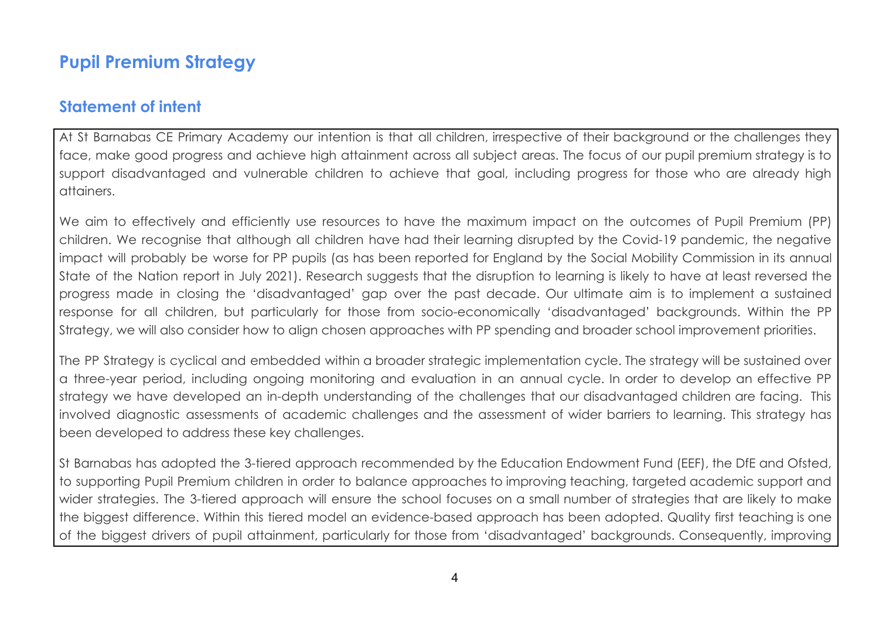# **Pupil Premium Strategy**

## **Statement of intent**

At St Barnabas CE Primary Academy our intention is that all children, irrespective of their background or the challenges they face, make good progress and achieve high attainment across all subject areas. The focus of our pupil premium strategy is to support disadvantaged and vulnerable children to achieve that goal, including progress for those who are already high attainers.

We aim to effectively and efficiently use resources to have the maximum impact on the outcomes of Pupil Premium (PP) children. We recognise that although all children have had their learning disrupted by the Covid-19 pandemic, the negative impact will probably be worse for PP pupils (as has been reported for England by the Social Mobility Commission in its annual State of the Nation report in July 2021). Research suggests that the disruption to learning is likely to have at least reversed the progress made in closing the 'disadvantaged' gap over the past decade. Our ultimate aim is to implement a sustained response for all children, but particularly for those from socio-economically 'disadvantaged' backgrounds. Within the PP Strategy, we will also consider how to align chosen approaches with PP spending and broader school improvement priorities.

The PP Strategy is cyclical and embedded within a broader strategic implementation cycle. The strategy will be sustained over a three-year period, including ongoing monitoring and evaluation in an annual cycle. In order to develop an effective PP strategy we have developed an in-depth understanding of the challenges that our disadvantaged children are facing. This involved diagnostic assessments of academic challenges and the assessment of wider barriers to learning. This strategy has been developed to address these key challenges.

St Barnabas has adopted the 3-tiered approach recommended by the Education Endowment Fund (EEF), the DfE and Ofsted, to supporting Pupil Premium children in order to balance approaches to improving teaching, targeted academic support and wider strategies. The 3-tiered approach will ensure the school focuses on a small number of strategies that are likely to make the biggest difference. Within this tiered model an evidence-based approach has been adopted. Quality first teaching is one of the biggest drivers of pupil attainment, particularly for those from 'disadvantaged' backgrounds. Consequently, improving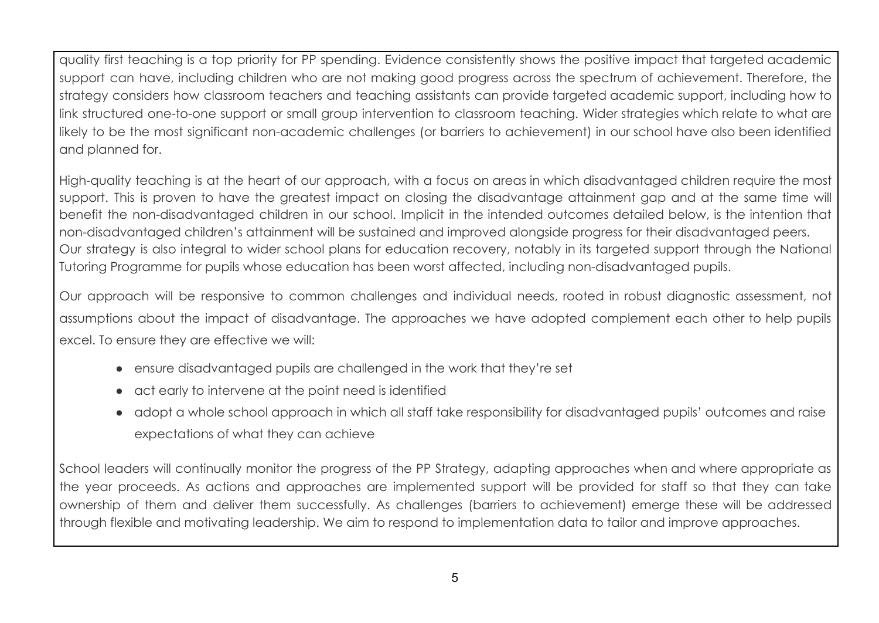quality first teaching is a top priority for PP spending. Evidence consistently shows the positive impact that targeted academic support can have, including children who are not making good progress across the spectrum of achievement. Therefore, the strategy considers how classroom teachers and teaching assistants can provide targeted academic support, including how to link structured one-to-one support or small group intervention to classroom teaching. Wider strategies which relate to what are likely to be the most significant non-academic challenges (or barriers to achievement) in our school have also been identified and planned for.

High-quality teaching is at the heart of our approach, with a focus on areas in which disadvantaged children require the most support. This is proven to have the greatest impact on closing the disadvantage attainment gap and at the same time will benefit the non-disadvantaged children in our school. Implicit in the intended outcomes detailed below, is the intention that non-disadvantaged children's attainment will be sustained and improved alongside progress for their disadvantaged peers. Our strategy is also integral to wider school plans for education recovery, notably in its targeted support through the National Tutoring Programme for pupils whose education has been worst affected, including non-disadvantaged pupils.

Our approach will be responsive to common challenges and individual needs, rooted in robust diagnostic assessment, not assumptions about the impact of disadvantage. The approaches we have adopted complement each other to help pupils excel. To ensure they are effective we will:

- ensure disadvantaged pupils are challenged in the work that they're set
- act early to intervene at the point need is identified
- adopt a whole school approach in which all staff take responsibility for disadvantaged pupils' outcomes and raise expectations of what they can achieve

School leaders will continually monitor the progress of the PP Strategy, adapting approaches when and where appropriate as the year proceeds. As actions and approaches are implemented support will be provided for staff so that they can take ownership of them and deliver them successfully. As challenges (barriers to achievement) emerge these will be addressed through flexible and motivating leadership. We aim to respond to implementation data to tailor and improve approaches.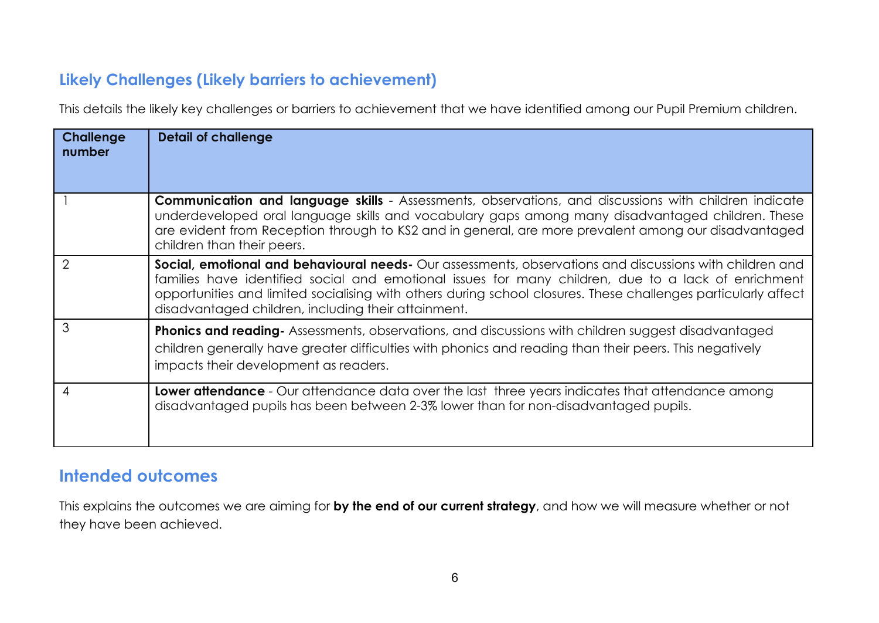## **Likely Challenges (Likely barriers to achievement)**

This details the likely key challenges or barriers to achievement that we have identified among our Pupil Premium children.

| <b>Challenge</b><br>number | <b>Detail of challenge</b>                                                                                                                                                                                                                                                                                                                                                                      |
|----------------------------|-------------------------------------------------------------------------------------------------------------------------------------------------------------------------------------------------------------------------------------------------------------------------------------------------------------------------------------------------------------------------------------------------|
|                            | <b>Communication and language skills</b> - Assessments, observations, and discussions with children indicate<br>underdeveloped oral language skills and vocabulary gaps among many disadvantaged children. These<br>are evident from Reception through to KS2 and in general, are more prevalent among our disadvantaged<br>children than their peers.                                          |
| 2                          | <b>Social, emotional and behavioural needs-</b> Our assessments, observations and discussions with children and<br>families have identified social and emotional issues for many children, due to a lack of enrichment<br>opportunities and limited socialising with others during school closures. These challenges particularly affect<br>disadvantaged children, including their attainment. |
| 3                          | <b>Phonics and reading-</b> Assessments, observations, and discussions with children suggest disadvantaged<br>children generally have greater difficulties with phonics and reading than their peers. This negatively<br>impacts their development as readers.                                                                                                                                  |
| 4                          | Lower attendance - Our attendance data over the last three years indicates that attendance among<br>disadvantaged pupils has been between 2-3% lower than for non-disadvantaged pupils.                                                                                                                                                                                                         |

## **Intended outcomes**

This explains the outcomes we are aiming for **by the end of our current strategy**, and how we will measure whether or not they have been achieved.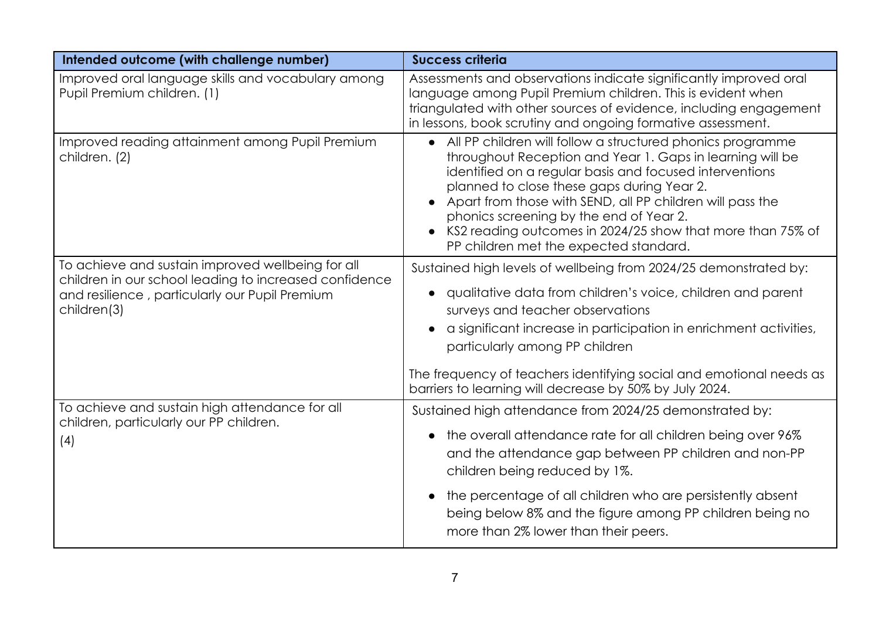| Intended outcome (with challenge number)                                                                                                                                     | <b>Success criteria</b>                                                                                                                                                                                                                                                                                                                                                                                                                              |
|------------------------------------------------------------------------------------------------------------------------------------------------------------------------------|------------------------------------------------------------------------------------------------------------------------------------------------------------------------------------------------------------------------------------------------------------------------------------------------------------------------------------------------------------------------------------------------------------------------------------------------------|
| Improved oral language skills and vocabulary among<br>Pupil Premium children. (1)                                                                                            | Assessments and observations indicate significantly improved oral<br>language among Pupil Premium children. This is evident when<br>triangulated with other sources of evidence, including engagement<br>in lessons, book scrutiny and ongoing formative assessment.                                                                                                                                                                                 |
| Improved reading attainment among Pupil Premium<br>children. (2)                                                                                                             | • All PP children will follow a structured phonics programme<br>throughout Reception and Year 1. Gaps in learning will be<br>identified on a regular basis and focused interventions<br>planned to close these gaps during Year 2.<br>• Apart from those with SEND, all PP children will pass the<br>phonics screening by the end of Year 2.<br>KS2 reading outcomes in 2024/25 show that more than 75% of<br>PP children met the expected standard. |
| To achieve and sustain improved wellbeing for all<br>children in our school leading to increased confidence<br>and resilience, particularly our Pupil Premium<br>children(3) | Sustained high levels of wellbeing from 2024/25 demonstrated by:<br>• qualitative data from children's voice, children and parent<br>surveys and teacher observations<br>a significant increase in participation in enrichment activities,<br>particularly among PP children<br>The frequency of teachers identifying social and emotional needs as<br>barriers to learning will decrease by 50% by July 2024.                                       |
| To achieve and sustain high attendance for all<br>children, particularly our PP children.<br>(4)                                                                             | Sustained high attendance from 2024/25 demonstrated by:<br>• the overall attendance rate for all children being over 96%<br>and the attendance gap between PP children and non-PP<br>children being reduced by 1%.<br>the percentage of all children who are persistently absent<br>being below 8% and the figure among PP children being no<br>more than 2% lower than their peers.                                                                 |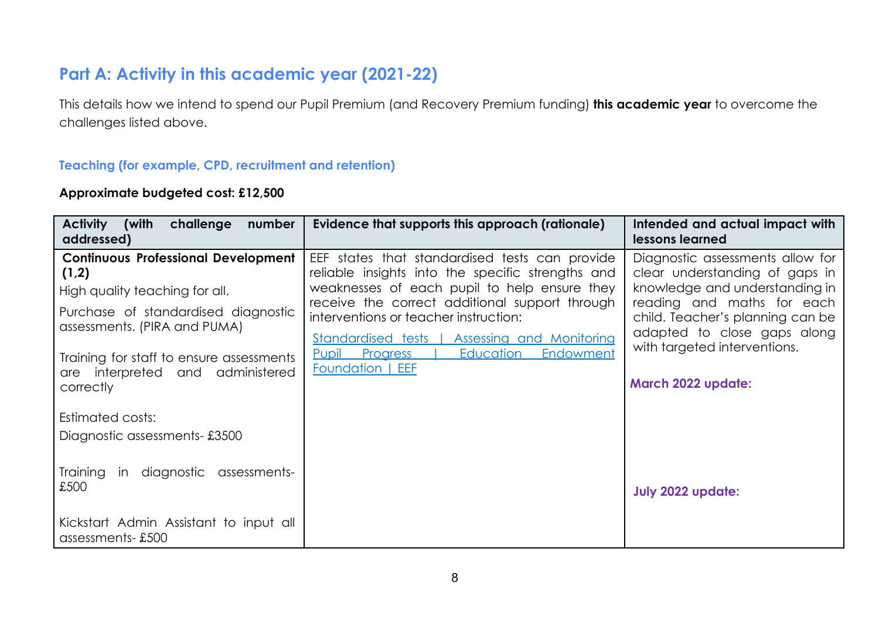# **Part A: Activity in this academic year (2021-22)**

This details how we intend to spend our Pupil Premium (and Recovery Premium funding) **this academic year** to overcome the challenges listed above.

#### **Teaching (for example, CPD, recruitment and retention)**

#### **Approximate budgeted cost: £12,500**

| <b>Activity</b><br>(with<br>challenge<br>number<br>addressed)                                                                                                                                                                                             | Evidence that supports this approach (rationale)                                                                                                                                                                                                                                                                                                                              | Intended and actual impact with<br>lessons learned                                                                                                                                                                                                          |
|-----------------------------------------------------------------------------------------------------------------------------------------------------------------------------------------------------------------------------------------------------------|-------------------------------------------------------------------------------------------------------------------------------------------------------------------------------------------------------------------------------------------------------------------------------------------------------------------------------------------------------------------------------|-------------------------------------------------------------------------------------------------------------------------------------------------------------------------------------------------------------------------------------------------------------|
| <b>Continuous Professional Development</b><br>(1,2)<br>High quality teaching for all.<br>Purchase of standardised diagnostic<br>assessments. (PIRA and PUMA)<br>Training for staff to ensure assessments<br>are interpreted and administered<br>correctly | EEF states that standardised tests can provide<br>reliable insights into the specific strengths and<br>weaknesses of each pupil to help ensure they<br>receive the correct additional support through<br>interventions or teacher instruction:<br>Standardised tests   Assessing and Monitoring<br>Education<br><b>Pupil</b> Progress<br>Endowment<br><b>Foundation   EEF</b> | Diagnostic assessments allow for<br>clear understanding of gaps in<br>knowledge and understanding in<br>reading and maths for each<br>child. Teacher's planning can be<br>adapted to close gaps along<br>with targeted interventions.<br>March 2022 update: |
| Estimated costs:<br>Diagnostic assessments-£3500<br>in diagnostic assessments-<br>Training                                                                                                                                                                |                                                                                                                                                                                                                                                                                                                                                                               |                                                                                                                                                                                                                                                             |
| £500<br>Kickstart Admin Assistant to input all<br>assessments-£500                                                                                                                                                                                        |                                                                                                                                                                                                                                                                                                                                                                               | <b>July 2022 update:</b>                                                                                                                                                                                                                                    |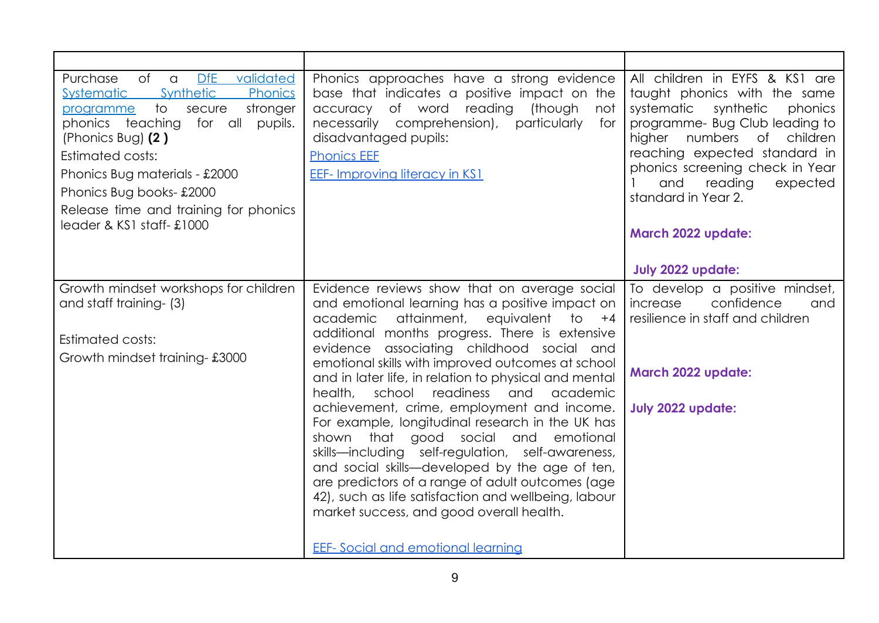| DfE validated<br>of<br>Purchase<br>$\alpha$<br>Synthetic<br><b>Systematic</b><br>Phonics<br>$\overline{1}$<br>secure<br>stronger<br>programme<br>phonics teaching<br>for all<br>pupils.<br>(Phonics Bug) $(2)$<br><b>Estimated costs:</b><br>Phonics Bug materials - £2000<br>Phonics Bug books-£2000<br>Release time and training for phonics<br>leader & KS1 staff-£1000 | Phonics approaches have a strong evidence<br>base that indicates a positive impact on the<br>reading<br>(though<br>of word<br>not<br>accuracy<br>necessarily comprehension),<br>particularly<br>for<br>disadvantaged pupils:<br><b>Phonics EEE</b><br><b>EEF-Improving literacy in KS1</b>                                                                                                                                                                                                                                                                                                                                                                                                                                                                                                                                                                                           | All children in EYFS & KS1 are<br>taught phonics with the same<br>systematic<br>synthetic<br>phonics<br>programme- Bug Club leading to<br>numbers<br>higher<br>children<br>Оf<br>reaching expected standard in<br>phonics screening check in Year<br>and<br>reading<br>expected<br>standard in Year 2.<br>March 2022 update:<br><b>July 2022 update:</b> |
|----------------------------------------------------------------------------------------------------------------------------------------------------------------------------------------------------------------------------------------------------------------------------------------------------------------------------------------------------------------------------|--------------------------------------------------------------------------------------------------------------------------------------------------------------------------------------------------------------------------------------------------------------------------------------------------------------------------------------------------------------------------------------------------------------------------------------------------------------------------------------------------------------------------------------------------------------------------------------------------------------------------------------------------------------------------------------------------------------------------------------------------------------------------------------------------------------------------------------------------------------------------------------|----------------------------------------------------------------------------------------------------------------------------------------------------------------------------------------------------------------------------------------------------------------------------------------------------------------------------------------------------------|
| Growth mindset workshops for children<br>and staff training- (3)<br>Estimated costs:<br>Growth mindset training-£3000                                                                                                                                                                                                                                                      | Evidence reviews show that on average social<br>and emotional learning has a positive impact on<br>attainment,<br>academic<br>equivalent<br>to<br>$+4$<br>additional months progress. There is extensive<br>evidence associating childhood social and<br>emotional skills with improved outcomes at school<br>and in later life, in relation to physical and mental<br>health,<br>readiness<br>school<br>and<br>academic<br>achievement, crime, employment and income.<br>For example, longitudinal research in the UK has<br>that good social and<br>shown<br>emotional<br>skills-including self-regulation, self-awareness,<br>and social skills—developed by the age of ten,<br>are predictors of a range of adult outcomes (age<br>42), such as life satisfaction and wellbeing, labour<br>market success, and good overall health.<br><b>EEF-</b> Social and emotional learning | To develop a positive mindset,<br>confidence<br>increase<br>and<br>resilience in staff and children<br>March 2022 update:<br>July 2022 update:                                                                                                                                                                                                           |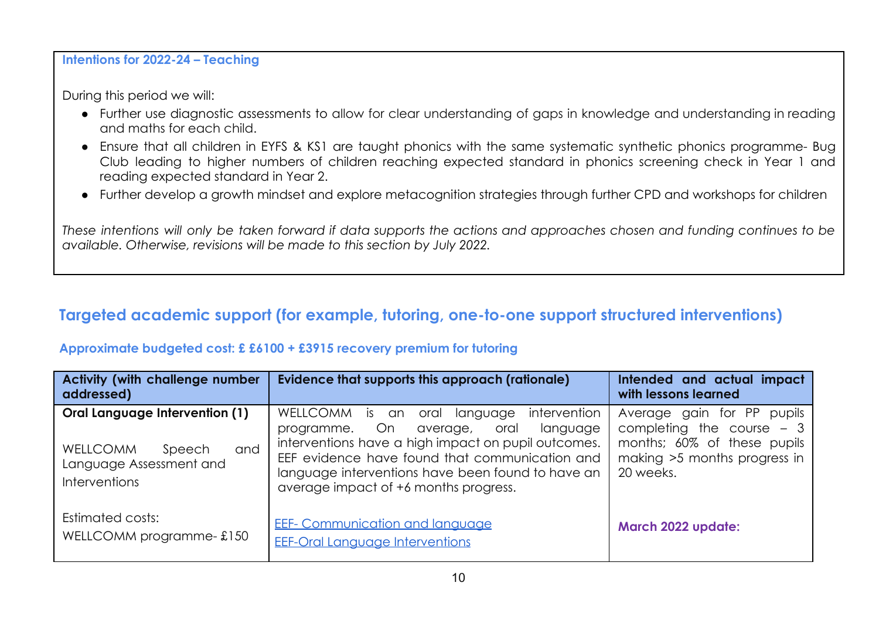**Intentions for 2022-24 – Teaching**

During this period we will:

- Further use diagnostic assessments to allow for clear understanding of gaps in knowledge and understanding in reading and maths for each child.
- Ensure that all children in EYFS & KS1 are taught phonics with the same systematic synthetic phonics programme- Bug Club leading to higher numbers of children reaching expected standard in phonics screening check in Year 1 and reading expected standard in Year 2.
- Further develop a growth mindset and explore metacognition strategies through further CPD and workshops for children

These intentions will only be taken forward if data supports the actions and approaches chosen and funding continues to be *available. Otherwise, revisions will be made to this section by July 2022.*

# **Targeted academic support (for example, tutoring, one-to-one support structured interventions)**

#### **Approximate budgeted cost: £ £6100 + £3915 recovery premium for tutoring**

| <b>Activity (with challenge number</b><br>addressed)                                                                         | Evidence that supports this approach (rationale)                                                                                                                                                                                                                                                           | Intended and actual impact<br>with lessons learned                                                                                      |
|------------------------------------------------------------------------------------------------------------------------------|------------------------------------------------------------------------------------------------------------------------------------------------------------------------------------------------------------------------------------------------------------------------------------------------------------|-----------------------------------------------------------------------------------------------------------------------------------------|
| <b>Oral Language Intervention (1)</b><br>and<br><b>WELLCOMM</b><br>Speech<br>Language Assessment and<br><b>Interventions</b> | WELLCOMM<br>intervention<br>is an oral<br>language<br>programme. On<br>language<br>oral<br>average,<br>interventions have a high impact on pupil outcomes.<br>EEF evidence have found that communication and<br>language interventions have been found to have an<br>average impact of +6 months progress. | Average gain for PP<br>pupils<br>completing the course $-3$<br>months; 60% of these pupils<br>making >5 months progress in<br>20 weeks. |
| Estimated costs:<br>WELLCOMM programme-£150                                                                                  | <b>EEF- Communication and language</b><br><b>EEF-Oral Language Interventions</b>                                                                                                                                                                                                                           | March 2022 update:                                                                                                                      |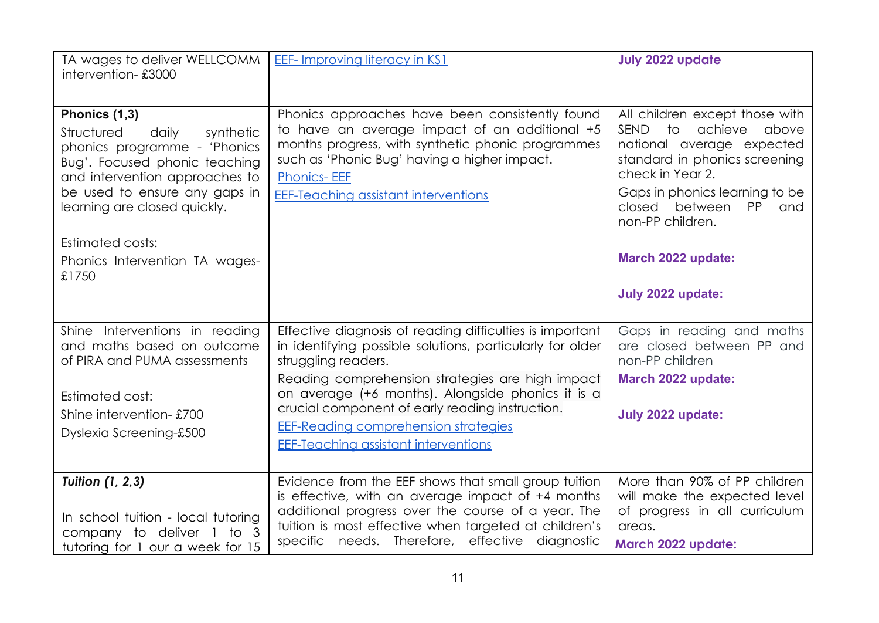| TA wages to deliver WELLCOMM<br>intervention-£3000                                                                                                                                                                    | <b>EEF-Improving literacy in KS1</b>                                                                                                                                                                                                                                        | <b>July 2022 update</b>                                                                                                                                                                                                           |
|-----------------------------------------------------------------------------------------------------------------------------------------------------------------------------------------------------------------------|-----------------------------------------------------------------------------------------------------------------------------------------------------------------------------------------------------------------------------------------------------------------------------|-----------------------------------------------------------------------------------------------------------------------------------------------------------------------------------------------------------------------------------|
|                                                                                                                                                                                                                       |                                                                                                                                                                                                                                                                             |                                                                                                                                                                                                                                   |
| Phonics (1,3)<br>Structured<br>daily<br>synthetic<br>phonics programme - 'Phonics<br>Bug'. Focused phonic teaching<br>and intervention approaches to<br>be used to ensure any gaps in<br>learning are closed quickly. | Phonics approaches have been consistently found<br>to have an average impact of an additional +5<br>months progress, with synthetic phonic programmes<br>such as 'Phonic Bug' having a higher impact.<br><b>Phonics-EEF</b><br><b>EEF-Teaching assistant interventions</b>  | All children except those with<br>SEND to achieve<br>above<br>national average expected<br>standard in phonics screening<br>check in Year 2.<br>Gaps in phonics learning to be<br>closed between<br>PP<br>and<br>non-PP children. |
| <b>Estimated costs:</b>                                                                                                                                                                                               |                                                                                                                                                                                                                                                                             |                                                                                                                                                                                                                                   |
| Phonics Intervention TA wages-<br>£1750                                                                                                                                                                               |                                                                                                                                                                                                                                                                             | March 2022 update:                                                                                                                                                                                                                |
|                                                                                                                                                                                                                       |                                                                                                                                                                                                                                                                             | July 2022 update:                                                                                                                                                                                                                 |
| Shine Interventions in reading<br>and maths based on outcome<br>of PIRA and PUMA assessments                                                                                                                          | Effective diagnosis of reading difficulties is important<br>in identifying possible solutions, particularly for older<br>struggling readers.                                                                                                                                | Gaps in reading and maths<br>are closed between PP and<br>non-PP children                                                                                                                                                         |
| Estimated cost:                                                                                                                                                                                                       | Reading comprehension strategies are high impact<br>on average (+6 months). Alongside phonics it is a                                                                                                                                                                       | March 2022 update:                                                                                                                                                                                                                |
| Shine intervention-£700                                                                                                                                                                                               | crucial component of early reading instruction.                                                                                                                                                                                                                             | July 2022 update:                                                                                                                                                                                                                 |
| Dyslexia Screening-£500                                                                                                                                                                                               | EEF-Reading comprehension strategies<br><b>EEF-Teaching assistant interventions</b>                                                                                                                                                                                         |                                                                                                                                                                                                                                   |
|                                                                                                                                                                                                                       |                                                                                                                                                                                                                                                                             |                                                                                                                                                                                                                                   |
| <b>Tuition (1, 2, 3)</b><br>In school tuition - local tutoring<br>company to deliver 1 to 3                                                                                                                           | Evidence from the EEF shows that small group tuition<br>is effective, with an average impact of +4 months<br>additional progress over the course of a year. The<br>tuition is most effective when targeted at children's<br>specific needs. Therefore, effective diagnostic | More than 90% of PP children<br>will make the expected level<br>of progress in all curriculum<br>areas.                                                                                                                           |
| tutoring for 1 our a week for 15                                                                                                                                                                                      |                                                                                                                                                                                                                                                                             | March 2022 update:                                                                                                                                                                                                                |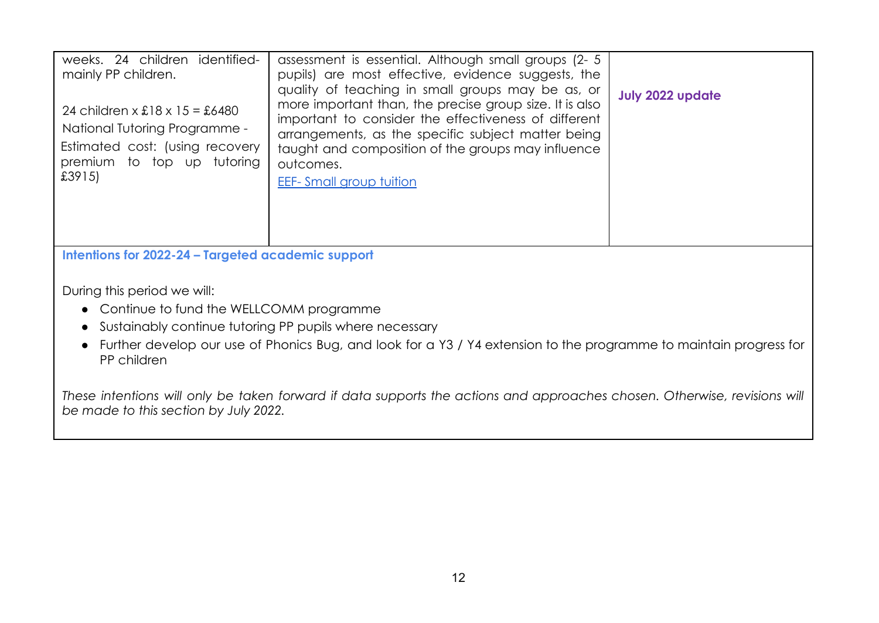| weeks. 24 children identified-<br>mainly PP children.<br>24 children x $£18 \times 15 = £6480$<br>National Tutoring Programme -<br>Estimated cost: (using recovery<br>premium to top up tutoring<br>£3915)                                                                                                                         | assessment is essential. Although small groups (2- 5)<br>pupils) are most effective, evidence suggests, the<br>quality of teaching in small groups may be as, or<br>more important than, the precise group size. It is also<br>important to consider the effectiveness of different<br>arrangements, as the specific subject matter being<br>taught and composition of the groups may influence<br>outcomes.<br><b>EEF-Small group tuition</b> | <b>July 2022 update</b> |  |
|------------------------------------------------------------------------------------------------------------------------------------------------------------------------------------------------------------------------------------------------------------------------------------------------------------------------------------|------------------------------------------------------------------------------------------------------------------------------------------------------------------------------------------------------------------------------------------------------------------------------------------------------------------------------------------------------------------------------------------------------------------------------------------------|-------------------------|--|
| Intentions for 2022-24 - Targeted academic support<br>During this period we will:<br>• Continue to fund the WELLCOMM programme<br>• Sustainably continue tutoring PP pupils where necessary<br>• Further develop our use of Phonics Bug, and look for a Y3 / Y4 extension to the programme to maintain progress for<br>PP children |                                                                                                                                                                                                                                                                                                                                                                                                                                                |                         |  |
| These intentions will only be taken forward if data supports the actions and approaches chosen. Otherwise, revisions will<br>be made to this section by July 2022.                                                                                                                                                                 |                                                                                                                                                                                                                                                                                                                                                                                                                                                |                         |  |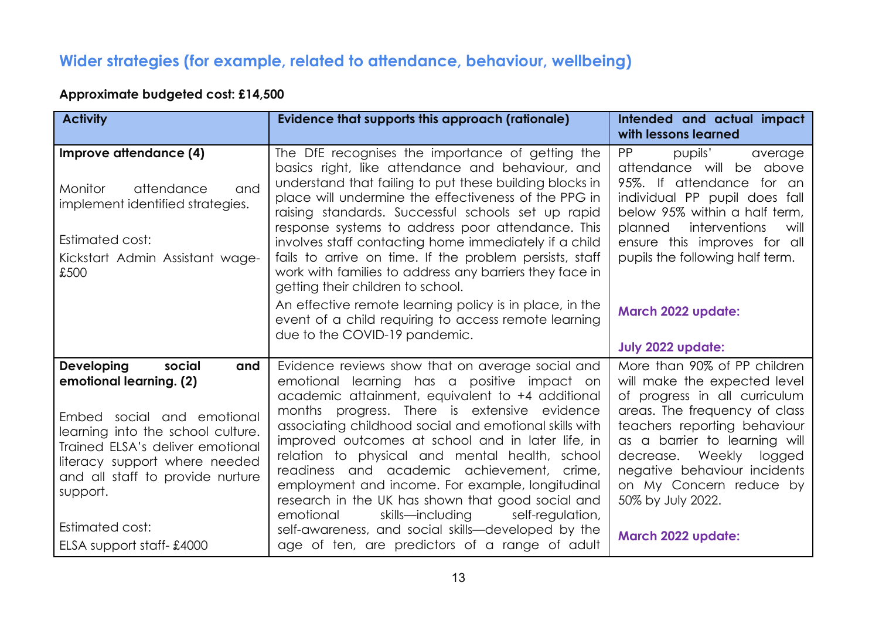# **Wider strategies (for example, related to attendance, behaviour, wellbeing)**

## **Approximate budgeted cost: £14,500**

| <b>Activity</b>                                                                                                                                                                                                                                       | Evidence that supports this approach (rationale)                                                                                                                                                                                                                                                                                                                                                                                                                                                                                                                                 | Intended and actual impact<br>with lessons learned                                                                                                                                                                                                                                                            |
|-------------------------------------------------------------------------------------------------------------------------------------------------------------------------------------------------------------------------------------------------------|----------------------------------------------------------------------------------------------------------------------------------------------------------------------------------------------------------------------------------------------------------------------------------------------------------------------------------------------------------------------------------------------------------------------------------------------------------------------------------------------------------------------------------------------------------------------------------|---------------------------------------------------------------------------------------------------------------------------------------------------------------------------------------------------------------------------------------------------------------------------------------------------------------|
| Improve attendance (4)<br>attendance<br><b>Monitor</b><br>and<br>implement identified strategies.<br>Estimated cost:<br>Kickstart Admin Assistant wage-<br>£500                                                                                       | The DfE recognises the importance of getting the<br>basics right, like attendance and behaviour, and<br>understand that failing to put these building blocks in<br>place will undermine the effectiveness of the PPG in<br>raising standards. Successful schools set up rapid<br>response systems to address poor attendance. This<br>involves staff contacting home immediately if a child<br>fails to arrive on time. If the problem persists, staff<br>work with families to address any barriers they face in<br>getting their children to school.                           | <b>PP</b><br>pupils'<br>average<br>attendance will be above<br>95%. If attendance for an<br>individual PP pupil does fall<br>below 95% within a half term,<br>interventions<br>planned<br>will<br>ensure this improves for all<br>pupils the following half term.                                             |
|                                                                                                                                                                                                                                                       | An effective remote learning policy is in place, in the<br>event of a child requiring to access remote learning<br>due to the COVID-19 pandemic.                                                                                                                                                                                                                                                                                                                                                                                                                                 | <b>March 2022 update:</b><br><b>July 2022 update:</b>                                                                                                                                                                                                                                                         |
| <b>Developing</b><br>social<br>and<br>emotional learning. (2)<br>Embed social and emotional<br>learning into the school culture.<br>Trained ELSA's deliver emotional<br>literacy support where needed<br>and all staff to provide nurture<br>support. | Evidence reviews show that on average social and<br>emotional learning has a positive impact on<br>academic attainment, equivalent to +4 additional<br>months progress. There is extensive evidence<br>associating childhood social and emotional skills with<br>improved outcomes at school and in later life, in<br>relation to physical and mental health, school<br>readiness and academic achievement, crime,<br>employment and income. For example, longitudinal<br>research in the UK has shown that good social and<br>skills—including<br>emotional<br>self-regulation, | More than 90% of PP children<br>will make the expected level<br>of progress in all curriculum<br>areas. The frequency of class<br>teachers reporting behaviour<br>as a barrier to learning will<br>decrease. Weekly<br>logged<br>negative behaviour incidents<br>on My Concern reduce by<br>50% by July 2022. |
| <b>Estimated cost:</b><br>ELSA support staff-£4000                                                                                                                                                                                                    | self-awareness, and social skills-developed by the<br>age of ten, are predictors of a range of adult                                                                                                                                                                                                                                                                                                                                                                                                                                                                             | March 2022 update:                                                                                                                                                                                                                                                                                            |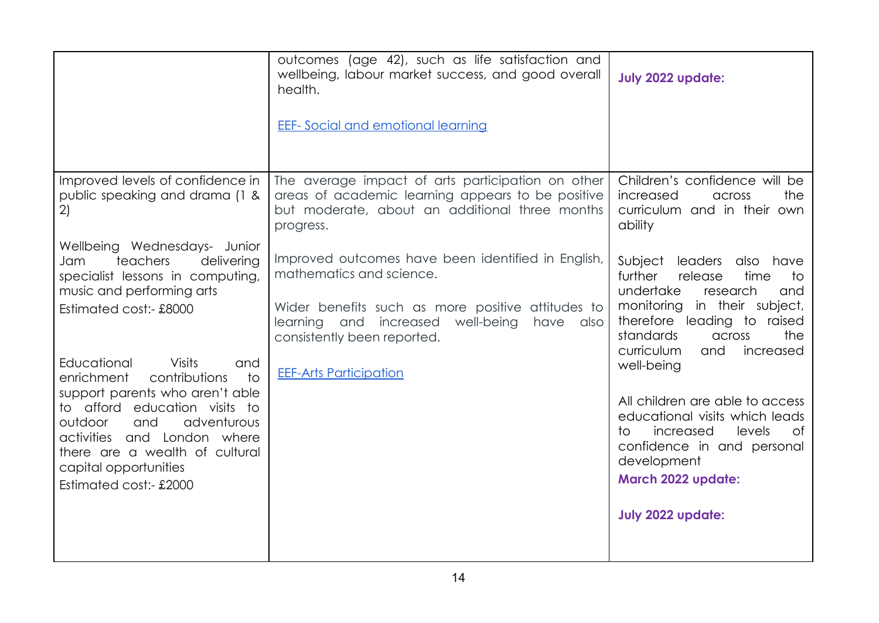|                                                                                                                                                                                                                                                                                     | outcomes (age 42), such as life satisfaction and<br>wellbeing, labour market success, and good overall<br>health.                                                                                                    | <b>July 2022 update:</b>                                                                                                                                                                                                        |
|-------------------------------------------------------------------------------------------------------------------------------------------------------------------------------------------------------------------------------------------------------------------------------------|----------------------------------------------------------------------------------------------------------------------------------------------------------------------------------------------------------------------|---------------------------------------------------------------------------------------------------------------------------------------------------------------------------------------------------------------------------------|
|                                                                                                                                                                                                                                                                                     | <b>EEF-</b> Social and emotional learning                                                                                                                                                                            |                                                                                                                                                                                                                                 |
| Improved levels of confidence in<br>public speaking and drama (1 &<br>2)                                                                                                                                                                                                            | The average impact of arts participation on other<br>areas of academic learning appears to be positive<br>but moderate, about an additional three months<br>progress.                                                | Children's confidence will be<br>increased<br>the<br>across<br>curriculum and in their own<br>ability                                                                                                                           |
| Wellbeing Wednesdays- Junior<br>teachers<br>delivering<br>Jam<br>specialist lessons in computing,<br>music and performing arts<br>Estimated cost:- £8000                                                                                                                            | Improved outcomes have been identified in English,<br>mathematics and science.<br>Wider benefits such as more positive attitudes to<br>learning and increased well-being<br>have also<br>consistently been reported. | Subject leaders<br>also have<br>further<br>release<br>time<br>to<br>undertake<br>research<br>and<br>monitoring in their subject,<br>therefore leading to raised<br>the<br>standards<br>across<br>curriculum<br>and<br>increased |
| Educational<br><b>Visits</b><br>and<br>$\overline{1}$<br>enrichment<br>contributions<br>support parents who aren't able<br>to afford education visits to<br>adventurous<br>outdoor<br>and<br>activities and London where<br>there are a wealth of cultural<br>capital opportunities | <b>EEF-Arts Participation</b>                                                                                                                                                                                        | well-being<br>All children are able to access<br>educational visits which leads<br>levels<br>increased<br>of<br>t∩⊹<br>confidence in and personal<br>development<br>March 2022 update:                                          |
| Estimated cost:- £2000                                                                                                                                                                                                                                                              |                                                                                                                                                                                                                      | <b>July 2022 update:</b>                                                                                                                                                                                                        |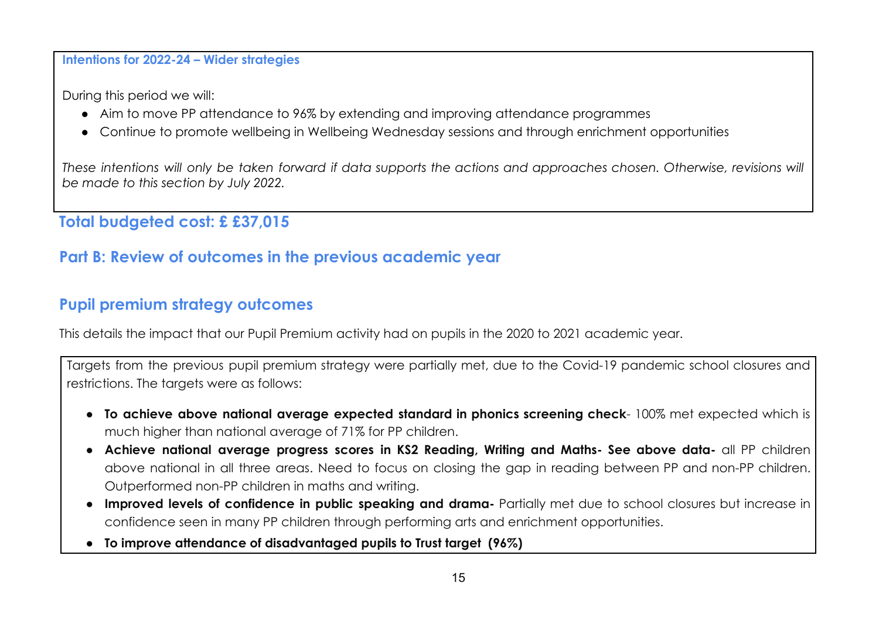#### **Intentions for 2022-24 – Wider strategies**

During this period we will:

- Aim to move PP attendance to 96% by extending and improving attendance programmes
- Continue to promote wellbeing in Wellbeing Wednesday sessions and through enrichment opportunities

These intentions will only be taken forward if data supports the actions and approaches chosen. Otherwise, revisions will *be made to this section by July 2022.*

**Total budgeted cost: £ £37,015**

## **Part B: Review of outcomes in the previous academic year**

### **Pupil premium strategy outcomes**

This details the impact that our Pupil Premium activity had on pupils in the 2020 to 2021 academic year.

Targets from the previous pupil premium strategy were partially met, due to the Covid-19 pandemic school closures and restrictions. The targets were as follows:

- **To achieve above national average expected standard in phonics screening check** 100% met expected which is much higher than national average of 71% for PP children.
- **● Achieve national average progress scores in KS2 Reading, Writing and Maths- See above data-** all PP children above national in all three areas. Need to focus on closing the gap in reading between PP and non-PP children. Outperformed non-PP children in maths and writing.
- **● Improved levels of confidence in public speaking and drama-** Partially met due to school closures but increase in confidence seen in many PP children through performing arts and enrichment opportunities.
- **● To improve attendance of disadvantaged pupils to Trust target (96%)**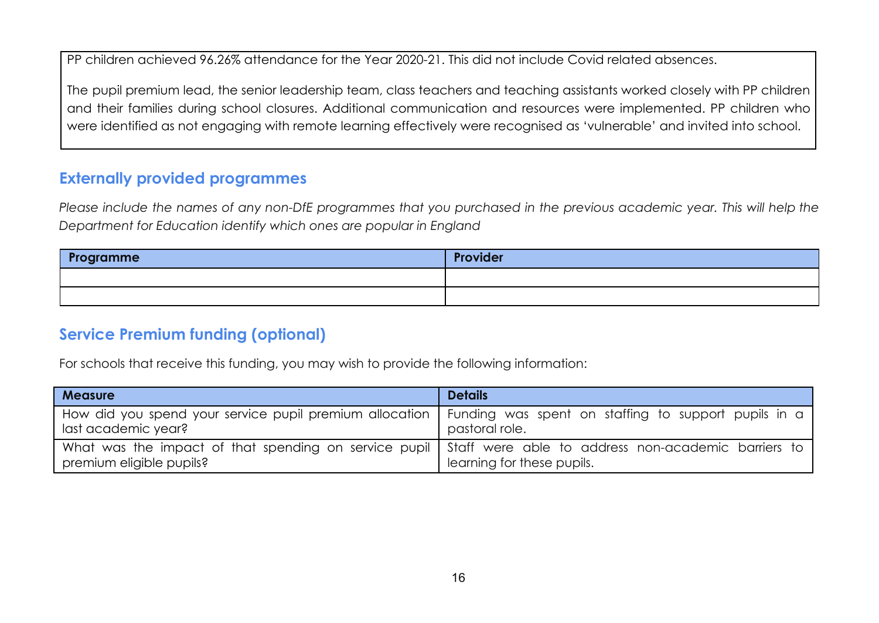PP children achieved 96.26% attendance for the Year 2020-21. This did not include Covid related absences.

The pupil premium lead, the senior leadership team, class teachers and teaching assistants worked closely with PP children and their families during school closures. Additional communication and resources were implemented. PP children who were identified as not engaging with remote learning effectively were recognised as 'vulnerable' and invited into school.

## **Externally provided programmes**

Please include the names of any non-DfE programmes that you purchased in the previous academic year. This will help the *Department for Education identify which ones are popular in England*

| Programme | Provider |
|-----------|----------|
|           |          |
|           |          |

### **Service Premium funding (optional)**

For schools that receive this funding, you may wish to provide the following information:

| <b>Measure</b>                                                                                                                          | <b>Details</b>             |
|-----------------------------------------------------------------------------------------------------------------------------------------|----------------------------|
| How did you spend your service pupil premium allocation   Funding was spent on staffing to support pupils in a<br>last academic year?   | pastoral role.             |
| What was the impact of that spending on service pupil   Staff were able to address non-academic barriers to<br>premium eligible pupils? | learning for these pupils. |